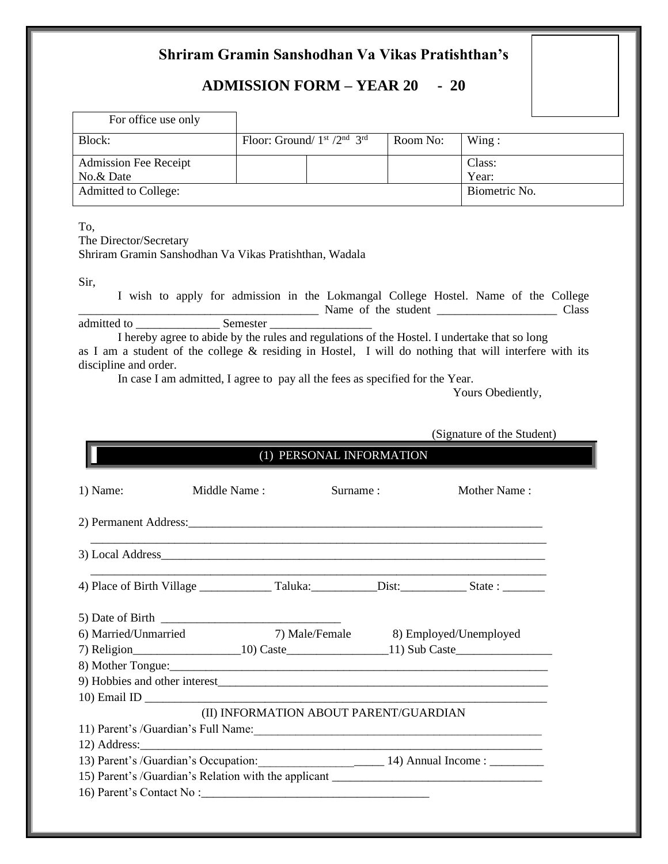# **Shriram Gramin Sanshodhan Va Vikas Pratishthan's**

# **ADMISSION FORM – YEAR 20 - 20**

| For office use only          |                                             |          |               |
|------------------------------|---------------------------------------------|----------|---------------|
| Block:                       | Floor: Ground/ $1st$ /2 <sup>nd</sup> $3rd$ | Room No: | Wing:         |
| <b>Admission Fee Receipt</b> |                                             |          | Class:        |
| No.& Date                    |                                             |          | Year:         |
| Admitted to College:         |                                             |          | Biometric No. |

To,

The Director/Secretary Shriram Gramin Sanshodhan Va Vikas Pratishthan, Wadala

Sir,

I wish to apply for admission in the Lokmangal College Hostel. Name of the College Name of the student **Example 2018** Class admitted to \_\_\_\_\_\_\_\_\_\_\_\_\_\_ Semester \_\_\_\_\_\_\_\_\_\_\_\_\_\_\_\_\_

I hereby agree to abide by the rules and regulations of the Hostel. I undertake that so long as I am a student of the college & residing in Hostel, I will do nothing that will interfere with its discipline and order.

In case I am admitted, I agree to pay all the fees as specified for the Year.

Yours Obediently,

(Signature of the Student)

| (1) PERSONAL INFORMATION                                                         |              |          |  |                                       |  |
|----------------------------------------------------------------------------------|--------------|----------|--|---------------------------------------|--|
| 1) Name:                                                                         | Middle Name: | Surname: |  | Mother Name:                          |  |
|                                                                                  |              |          |  |                                       |  |
|                                                                                  |              |          |  |                                       |  |
|                                                                                  |              |          |  |                                       |  |
|                                                                                  |              |          |  |                                       |  |
| 6) Married/Unmarried                                                             |              |          |  | 7) Male/Female 8) Employed/Unemployed |  |
|                                                                                  |              |          |  |                                       |  |
|                                                                                  |              |          |  |                                       |  |
| 9) Hobbies and other interest                                                    |              |          |  |                                       |  |
|                                                                                  |              |          |  |                                       |  |
| (II) INFORMATION ABOUT PARENT/GUARDIAN                                           |              |          |  |                                       |  |
|                                                                                  |              |          |  |                                       |  |
|                                                                                  |              |          |  |                                       |  |
| 13) Parent's /Guardian's Occupation: 14) Annual Income : 14                      |              |          |  |                                       |  |
| 15) Parent's /Guardian's Relation with the applicant ___________________________ |              |          |  |                                       |  |
|                                                                                  |              |          |  |                                       |  |
|                                                                                  |              |          |  |                                       |  |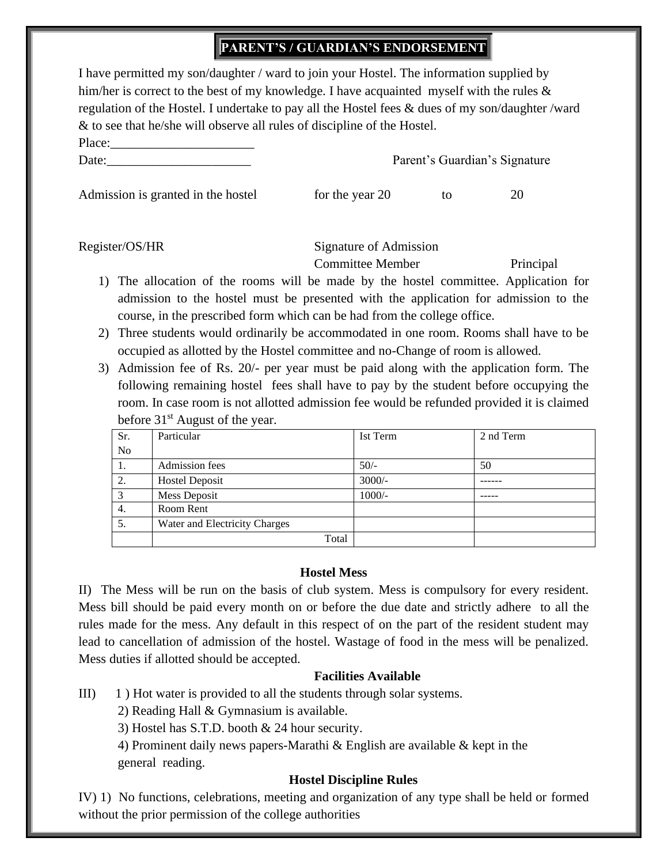# **PARENT'S / GUARDIAN'S ENDORSEMENT**

| I have permitted my son/daughter / ward to join your Hostel. The information supplied by        |
|-------------------------------------------------------------------------------------------------|
| him/her is correct to the best of my knowledge. I have acquainted myself with the rules $\&$    |
| regulation of the Hostel. I undertake to pay all the Hostel fees & dues of my son/daughter/ward |
| $\&$ to see that he/she will observe all rules of discipline of the Hostel.                     |

| 1 mov.        |  |  |  |
|---------------|--|--|--|
|               |  |  |  |
|               |  |  |  |
| $\text{Date}$ |  |  |  |
|               |  |  |  |

Parent's Guardian's Signature

Admission is granted in the hostel for the year  $20$  to  $20$ 

| Register/OS/HR |
|----------------|
|----------------|

 $Planer$ 

Signature of Admission

Committee Member Principal

- 1) The allocation of the rooms will be made by the hostel committee. Application for admission to the hostel must be presented with the application for admission to the course, in the prescribed form which can be had from the college office.
- 2) Three students would ordinarily be accommodated in one room. Rooms shall have to be occupied as allotted by the Hostel committee and no-Change of room is allowed.
- 3) Admission fee of Rs. 20/- per year must be paid along with the application form. The following remaining hostel fees shall have to pay by the student before occupying the room. In case room is not allotted admission fee would be refunded provided it is claimed before 31<sup>st</sup> August of the year.

| Sr. | Particular                    | Ist Term | 2 nd Term |
|-----|-------------------------------|----------|-----------|
| No  |                               |          |           |
| 1.  | Admission fees                | $50/-$   | 50        |
| 2.  | <b>Hostel Deposit</b>         | $3000/-$ |           |
| 3   | Mess Deposit                  | $1000/-$ |           |
| 4.  | Room Rent                     |          |           |
| 5.  | Water and Electricity Charges |          |           |
|     | Total                         |          |           |

#### **Hostel Mess**

II) The Mess will be run on the basis of club system. Mess is compulsory for every resident. Mess bill should be paid every month on or before the due date and strictly adhere to all the rules made for the mess. Any default in this respect of on the part of the resident student may lead to cancellation of admission of the hostel. Wastage of food in the mess will be penalized. Mess duties if allotted should be accepted.

## **Facilities Available**

III) 1 ) Hot water is provided to all the students through solar systems.

2) Reading Hall & Gymnasium is available.

3) Hostel has S.T.D. booth & 24 hour security.

4) Prominent daily news papers-Marathi  $\&$  English are available  $\&$  kept in the general reading.

## **Hostel Discipline Rules**

IV) 1) No functions, celebrations, meeting and organization of any type shall be held or formed without the prior permission of the college authorities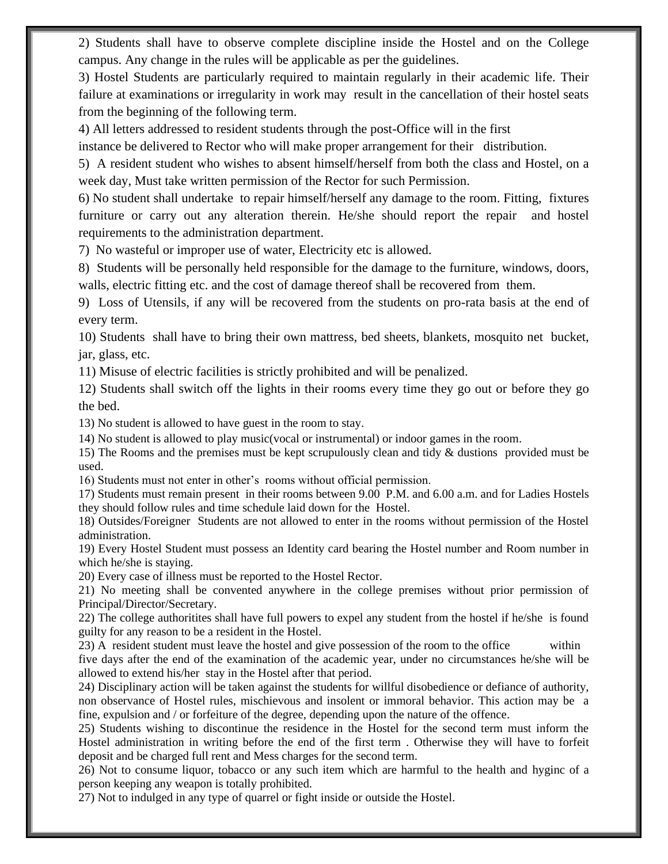2) Students shall have to observe complete discipline inside the Hostel and on the College campus. Any change in the rules will be applicable as per the guidelines.

3) Hostel Students are particularly required to maintain regularly in their academic life. Their failure at examinations or irregularity in work may result in the cancellation of their hostel seats from the beginning of the following term.

4) All letters addressed to resident students through the post-Office will in the first

instance be delivered to Rector who will make proper arrangement for their distribution.

5) A resident student who wishes to absent himself/herself from both the class and Hostel, on a week day, Must take written permission of the Rector for such Permission.

6) No student shall undertake to repair himself/herself any damage to the room. Fitting, fixtures furniture or carry out any alteration therein. He/she should report the repair and hostel requirements to the administration department.

7) No wasteful or improper use of water, Electricity etc is allowed.

8) Students will be personally held responsible for the damage to the furniture, windows, doors, walls, electric fitting etc. and the cost of damage thereof shall be recovered from them.

9) Loss of Utensils, if any will be recovered from the students on pro-rata basis at the end of every term.

10) Students shall have to bring their own mattress, bed sheets, blankets, mosquito net bucket, jar, glass, etc.

11) Misuse of electric facilities is strictly prohibited and will be penalized.

12) Students shall switch off the lights in their rooms every time they go out or before they go the bed.

13) No student is allowed to have guest in the room to stay.

14) No student is allowed to play music(vocal or instrumental) or indoor games in the room.

15) The Rooms and the premises must be kept scrupulously clean and tidy & dustions provided must be used.

16) Students must not enter in other's rooms without official permission.

17) Students must remain present in their rooms between 9.00 P.M. and 6.00 a.m. and for Ladies Hostels they should follow rules and time schedule laid down for the Hostel.

18) Outsides/Foreigner Students are not allowed to enter in the rooms without permission of the Hostel administration.

19) Every Hostel Student must possess an Identity card bearing the Hostel number and Room number in which he/she is staying.

20) Every case of illness must be reported to the Hostel Rector.

21) No meeting shall be convented anywhere in the college premises without prior permission of Principal/Director/Secretary.

22) The college authoritites shall have full powers to expel any student from the hostel if he/she is found guilty for any reason to be a resident in the Hostel.

23) A resident student must leave the hostel and give possession of the room to the office within five days after the end of the examination of the academic year, under no circumstances he/she will be allowed to extend his/her stay in the Hostel after that period.

24) Disciplinary action will be taken against the students for willful disobedience or defiance of authority, non observance of Hostel rules, mischievous and insolent or immoral behavior. This action may be a fine, expulsion and / or forfeiture of the degree, depending upon the nature of the offence.

25) Students wishing to discontinue the residence in the Hostel for the second term must inform the Hostel administration in writing before the end of the first term . Otherwise they will have to forfeit deposit and be charged full rent and Mess charges for the second term.

26) Not to consume liquor, tobacco or any such item which are harmful to the health and hyginc of a person keeping any weapon is totally prohibited.

27) Not to indulged in any type of quarrel or fight inside or outside the Hostel.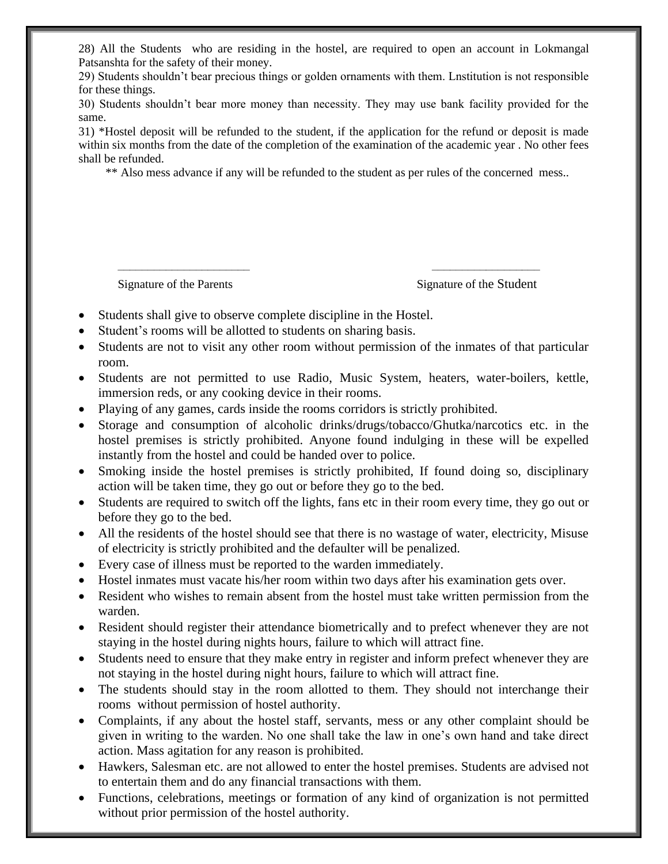28) All the Students who are residing in the hostel, are required to open an account in Lokmangal Patsanshta for the safety of their money.

29) Students shouldn't bear precious things or golden ornaments with them. Lnstitution is not responsible for these things.

30) Students shouldn't bear more money than necessity. They may use bank facility provided for the same.

31) \*Hostel deposit will be refunded to the student, if the application for the refund or deposit is made within six months from the date of the completion of the examination of the academic year. No other fees shall be refunded.

\*\* Also mess advance if any will be refunded to the student as per rules of the concerned mess..

Signature of the Parents Signature of the Student

- Students shall give to observe complete discipline in the Hostel.
- Student's rooms will be allotted to students on sharing basis.
- Students are not to visit any other room without permission of the inmates of that particular room.

–––––––––––––––––––––– ––––––––––––––––––

- Students are not permitted to use Radio, Music System, heaters, water-boilers, kettle, immersion reds, or any cooking device in their rooms.
- Playing of any games, cards inside the rooms corridors is strictly prohibited.
- Storage and consumption of alcoholic drinks/drugs/tobacco/Ghutka/narcotics etc. in the hostel premises is strictly prohibited. Anyone found indulging in these will be expelled instantly from the hostel and could be handed over to police.
- Smoking inside the hostel premises is strictly prohibited, If found doing so, disciplinary action will be taken time, they go out or before they go to the bed.
- Students are required to switch off the lights, fans etc in their room every time, they go out or before they go to the bed.
- All the residents of the hostel should see that there is no wastage of water, electricity, Misuse of electricity is strictly prohibited and the defaulter will be penalized.
- Every case of illness must be reported to the warden immediately.
- Hostel inmates must vacate his/her room within two days after his examination gets over.
- Resident who wishes to remain absent from the hostel must take written permission from the warden.
- Resident should register their attendance biometrically and to prefect whenever they are not staying in the hostel during nights hours, failure to which will attract fine.
- Students need to ensure that they make entry in register and inform prefect whenever they are not staying in the hostel during night hours, failure to which will attract fine.
- The students should stay in the room allotted to them. They should not interchange their rooms without permission of hostel authority.
- Complaints, if any about the hostel staff, servants, mess or any other complaint should be given in writing to the warden. No one shall take the law in one's own hand and take direct action. Mass agitation for any reason is prohibited.
- Hawkers, Salesman etc. are not allowed to enter the hostel premises. Students are advised not to entertain them and do any financial transactions with them.
- Functions, celebrations, meetings or formation of any kind of organization is not permitted without prior permission of the hostel authority.